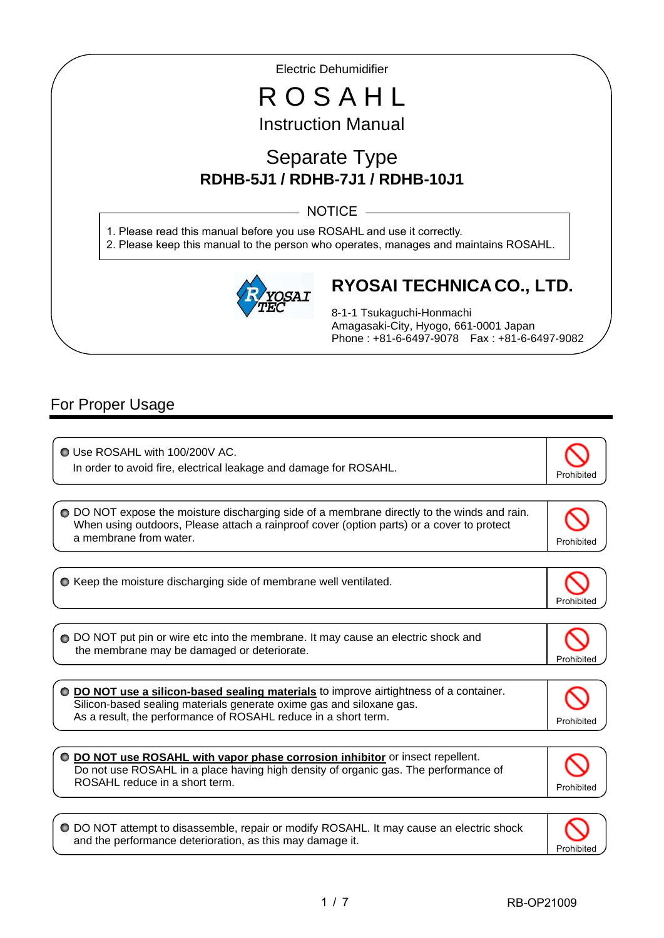Electric Dehumidifier

# R O S A H L Instruction Manual

# Separate Type **RDHB-5J1 / RDHB-7J1 / RDHB-10J1**

- NOTICE -

1. Please read this manual before you use ROSAHL and use it correctly. 2. Please keep this manual to the person who operates, manages and maintains ROSAHL.



# **RYOSAI TECHNICA CO., LTD.**

8-1-1 Tsukaguchi-Honmachi Amagasaki-City, Hyogo, 661-0001 Japan Phone : +81-6-6497-9078 Fax : +81-6-6497-9082

# For Proper Usage

I

I

ľ

 Use ROSAHL with 100/200V AC. In order to avoid fire, electrical leakage and damage for ROSAHL.  $\bullet$  Keep the moisture discharging side of membrane well ventilated. Prohibited O DO NOT expose the moisture discharging side of a membrane directly to the winds and rain. When using outdoors, Please attach a rainproof cover (option parts) or a cover to protect a membrane from water. The contract of the contract of the contract of the contract of the contract of the contract of the contract of the contract of the contract of the contract of the contract of the contract of the con ◯ DO NOT put pin or wire etc into the membrane. It may cause an electric shock and the membrane may be damaged or deteriorate. Prohibited **DO NOT use a silicon-based sealing materials** to improve airtightness of a container. Silicon-based sealing materials generate oxime gas and siloxane gas. As a result, the performance of ROSAHL reduce in a short term. **DO NOT use ROSAHL with vapor phase corrosion inhibitor** or insect repellent. Do not use ROSAHL in a place having high density of organic gas. The performance of ROSAHL reduce in a short term.  $\overline{a}$ Prohibited DO NOT attempt to disassemble, repair or modify ROSAHL. It may cause an electric shock

Prohibited

and the performance deterioration, as this may damage it.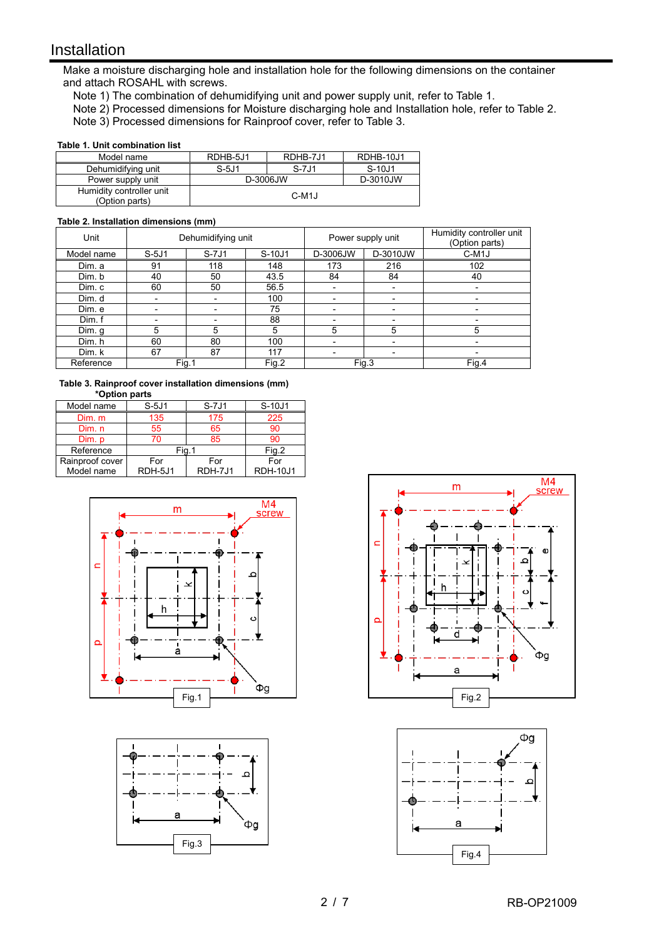# Installation

I

Make a moisture discharging hole and installation hole for the following dimensions on the container and attach ROSAHL with screws.

- Note 1) The combination of dehumidifying unit and power supply unit, refer to Table 1.
- Note 2) Processed dimensions for Moisture discharging hole and Installation hole, refer to Table 2.

Note 3) Processed dimensions for Rainproof cover, refer to Table 3.

#### **Table 1. Unit combination list**

| Model name                                 | RDHB-5J1           | RDHB-7J1 | RDHB-10J1 |
|--------------------------------------------|--------------------|----------|-----------|
| Dehumidifying unit                         | $S-5J1$            | $S-7J1$  | S-10J1    |
| Power supply unit                          | D-3006JW           |          | D-3010JW  |
| Humidity controller unit<br>(Option parts) | C-M <sub>1</sub> J |          |           |

#### **Table 2. Installation dimensions (mm)**

| Unit       | Dehumidifying unit |         | Power supply unit |                          | Humidity controller unit<br>(Option parts) |                    |
|------------|--------------------|---------|-------------------|--------------------------|--------------------------------------------|--------------------|
| Model name | $S-5J1$            | $S-7J1$ | S-10J1            | D-3006JW                 | D-3010JW                                   | C-M <sub>1</sub> J |
| Dim. a     | 91                 | 118     | 148               | 173                      | 216                                        | 102                |
| Dim. b     | 40                 | 50      | 43.5              | 84                       | 84                                         | 40                 |
| Dim. c     | 60                 | 50      | 56.5              | $\overline{\phantom{0}}$ | $\overline{\phantom{0}}$                   | ٠                  |
| Dim. d     |                    |         | 100               |                          | ۰                                          | ٠                  |
| Dim. e     |                    |         | 75                |                          |                                            |                    |
| Dim.f      |                    |         | 88                |                          |                                            |                    |
| Dim. g     | 5                  | 5       | 5                 | 5                        | 5                                          | 5                  |
| Dim. h     | 60                 | 80      | 100               |                          |                                            |                    |
| Dim. k     | 67                 | 87      | 117               |                          |                                            |                    |
| Reference  | Fig.1              |         | Fig.2             |                          | Fig.3                                      | Fig.4              |

**Table 3. Rainproof cover installation dimensions (mm) \*Option parts**

| Model name      | $S-5J1$ | $S-7J1$ | S-10J1          |  |
|-----------------|---------|---------|-----------------|--|
| Dim. m          | 135     | 175     | 225             |  |
| Dim. n          | 55      | 65      | 90              |  |
| Dim. p          | 70      | 85      | 90              |  |
| Reference       | Fia.:   |         | Fig.2           |  |
| Rainproof cover | For     | For     | For             |  |
| Model name      | RDH-5J1 | RDH-7J1 | <b>RDH-10J1</b> |  |







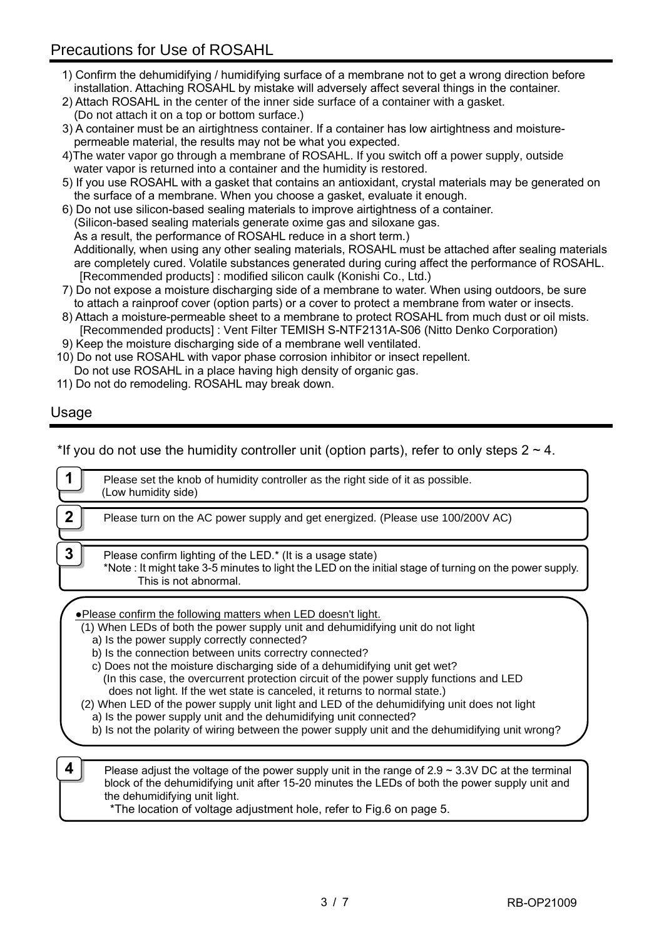# Precautions for Use of ROSAHL

- 1) Confirm the dehumidifying / humidifying surface of a membrane not to get a wrong direction before installation. Attaching ROSAHL by mistake will adversely affect several things in the container.
- 2) Attach ROSAHL in the center of the inner side surface of a container with a gasket.
- (Do not attach it on a top or bottom surface.)
- 3) A container must be an airtightness container. If a container has low airtightness and moisturepermeable material, the results may not be what you expected.
- 4)The water vapor go through a membrane of ROSAHL. If you switch off a power supply, outside water vapor is returned into a container and the humidity is restored.
- 5) If you use ROSAHL with a gasket that contains an antioxidant, crystal materials may be generated on the surface of a membrane. When you choose a gasket, evaluate it enough.
- 6) Do not use silicon-based sealing materials to improve airtightness of a container. (Silicon-based sealing materials generate oxime gas and siloxane gas. As a result, the performance of ROSAHL reduce in a short term.) Additionally, when using any other sealing materials, ROSAHL must be attached after sealing materials are completely cured. Volatile substances generated during curing affect the performance of ROSAHL. [Recommended products] : modified silicon caulk (Konishi Co., Ltd.)
- 7) Do not expose a moisture discharging side of a membrane to water. When using outdoors, be sure to attach a rainproof cover (option parts) or a cover to protect a membrane from water or insects.
- 8) Attach a moisture-permeable sheet to a membrane to protect ROSAHL from much dust or oil mists. [Recommended products] : Vent Filter TEMISH S-NTF2131A-S06 (Nitto Denko Corporation)
- 9) Keep the moisture discharging side of a membrane well ventilated.
- 10) Do not use ROSAHL with vapor phase corrosion inhibitor or insect repellent. Do not use ROSAHL in a place having high density of organic gas.
- 11) Do not do remodeling. ROSAHL may break down.

## Usage

\*If you do not use the humidity controller unit (option parts), refer to only steps  $2 \sim 4$ .

|             | Please set the knob of humidity controller as the right side of it as possible.                                                                                                                                                                                                                                                                                                                                                                                                                                                                                                                                                                                                                                                                                                             |
|-------------|---------------------------------------------------------------------------------------------------------------------------------------------------------------------------------------------------------------------------------------------------------------------------------------------------------------------------------------------------------------------------------------------------------------------------------------------------------------------------------------------------------------------------------------------------------------------------------------------------------------------------------------------------------------------------------------------------------------------------------------------------------------------------------------------|
|             | (Low humidity side)                                                                                                                                                                                                                                                                                                                                                                                                                                                                                                                                                                                                                                                                                                                                                                         |
| $\mathbf 2$ | Please turn on the AC power supply and get energized. (Please use 100/200V AC)                                                                                                                                                                                                                                                                                                                                                                                                                                                                                                                                                                                                                                                                                                              |
| 3           | Please confirm lighting of the LED.* (It is a usage state)<br>*Note : It might take 3-5 minutes to light the LED on the initial stage of turning on the power supply.<br>This is not abnormal.                                                                                                                                                                                                                                                                                                                                                                                                                                                                                                                                                                                              |
|             | . Please confirm the following matters when LED doesn't light.<br>(1) When LEDs of both the power supply unit and dehumidifying unit do not light<br>a) Is the power supply correctly connected?<br>b) Is the connection between units correctry connected?<br>c) Does not the moisture discharging side of a dehumidifying unit get wet?<br>(In this case, the overcurrent protection circuit of the power supply functions and LED<br>does not light. If the wet state is canceled, it returns to normal state.)<br>(2) When LED of the power supply unit light and LED of the dehumidifying unit does not light<br>a) Is the power supply unit and the dehumidifying unit connected?<br>b) Is not the polarity of wiring between the power supply unit and the dehumidifying unit wrong? |
| 4           | Please adjust the voltage of the power supply unit in the range of $2.9 \sim 3.3V$ DC at the terminal<br>block of the dehumidifying unit after 15-20 minutes the LEDs of both the power supply unit and                                                                                                                                                                                                                                                                                                                                                                                                                                                                                                                                                                                     |

the dehumidifying unit light.

\*The location of voltage adjustment hole, refer to Fig.6 on page 5.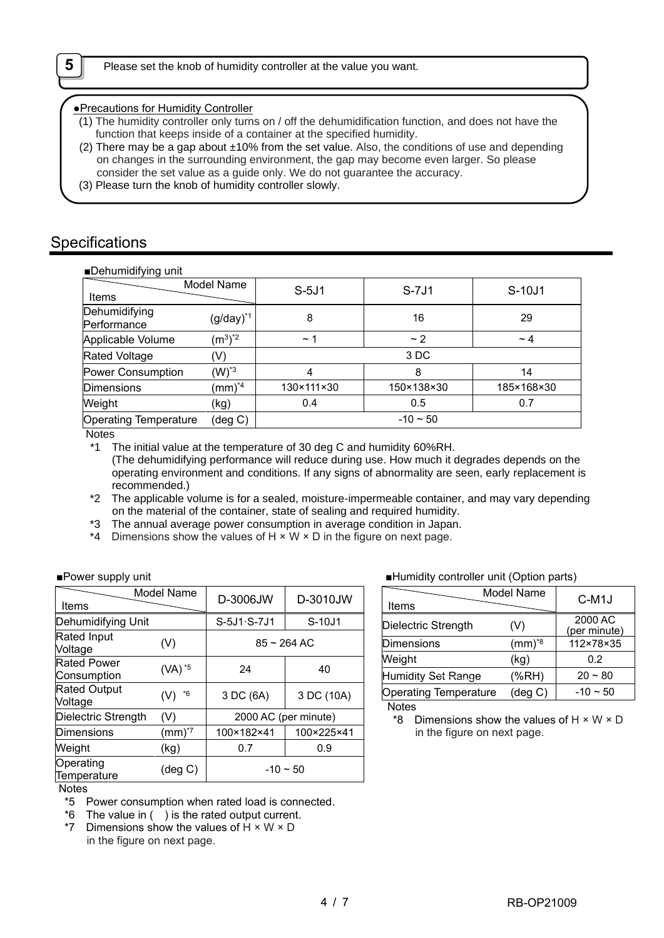●Precautions for Humidity Controller

- (1) The humidity controller only turns on / off the dehumidification function, and does not have the function that keeps inside of a container at the specified humidity.
- (2) There may be a gap about  $\pm 10\%$  from the set value. Also, the conditions of use and depending on changes in the surrounding environment, the gap may become even larger. So please consider the set value as a guide only. We do not guarantee the accuracy.
- (3) Please turn the knob of humidity controller slowly.

# **Specifications**

| ■Dehumidifying unit |  |
|---------------------|--|

| $\blacksquare$               |                         |            |               |            |
|------------------------------|-------------------------|------------|---------------|------------|
| Items                        | Model Name              | $S-5J1$    | $S-7J1$       | S-10J1     |
| Dehumidifying<br>Performance | $(g/day)^{*1}$          | 8          | 16            | 29         |
| Applicable Volume            | $(m^3)^*$ <sup>2</sup>  | $~\sim$ 1  | $\sim$ 2      | $\sim$ 4   |
| <b>Rated Voltage</b>         | (V)                     |            | 3 DC          |            |
| Power Consumption            | $(W)^*$ <sup>3</sup>    | 4          | 8             | 14         |
| <b>Dimensions</b>            | $\text{(mm)}^{\star 4}$ | 130×111×30 | 150×138×30    | 185×168×30 |
| Weight                       | (kg)                    | 0.4        | 0.5           | 0.7        |
| <b>Operating Temperature</b> | (deg C)                 |            | $-10 \sim 50$ |            |

Notes

operating environment and conditions. If any signs of abnormality are seen, early replacement is recommended.)

\*2 The applicable volume is for a sealed, moisture-impermeable container, and may vary depending on the material of the container, state of sealing and required humidity.

- \*3 The annual average power consumption in average condition in Japan.
- \*4 Dimensions show the values of  $H \times W \times D$  in the figure on next page.

| Model Name<br>Items               |                    | D-3006JW             | D-3010JW      |  |
|-----------------------------------|--------------------|----------------------|---------------|--|
| Dehumidifying Unit                |                    | S-5J1 · S-7J1        | S-10J1        |  |
| Rated Input<br>Voltage            | (V)                |                      | $85 - 264$ AC |  |
| <b>Rated Power</b><br>Consumption | (VA) <sup>*5</sup> | 24                   | 40            |  |
| <b>Rated Output</b><br>Voltage    | *6<br>(V)          | 3 DC (6A)            | 3 DC (10A)    |  |
| Dielectric Strength               | (V)                | 2000 AC (per minute) |               |  |
| <b>Dimensions</b>                 | $(mm)*$            | 100×182×41           | 100×225×41    |  |
| Weight                            | (kg)               | 0.7                  | 0.9           |  |
| Operating<br>Temperature          | $(\text{deg } C)$  | $-10 \sim 50$        |               |  |

### ■Power supply unit and a set of the supply unit and a set of the set of the set of the set of the set of the set of the set of the set of the set of the set of the set of the set of the set of the set of the set of the se

| Items                        | Model Name        | C-M <sub>1</sub> J      |
|------------------------------|-------------------|-------------------------|
| Dielectric Strength          | (V)               | 2000 AC<br>(per minute) |
| <b>Dimensions</b>            | $(mm)^{8}$        | 112×78×35               |
| Weight                       | (kg)              | 0.2                     |
| Humidity Set Range           | (%RH)             | $20 - 80$               |
| <b>Operating Temperature</b> | $(\text{deg } C)$ | $-10 \sim 50$           |

**Notes** 

\*8 Dimensions show the values of  $H \times W \times D$ in the figure on next page.

#### **Notes**

\*5 Power consumption when rated load is connected.

 $*6$  The value in  $( )$  is the rated output current.

\*7 Dimensions show the values of  $H \times W \times D$ in the figure on next page.

<sup>\*1</sup> The initial value at the temperature of 30 deg C and humidity 60%RH. (The dehumidifying performance will reduce during use. How much it degrades depends on the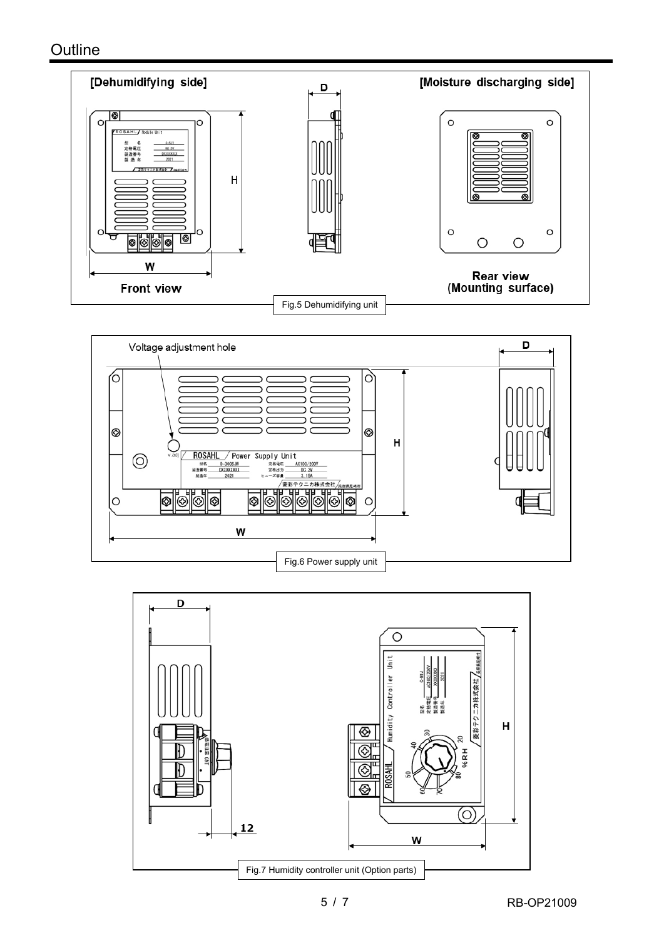



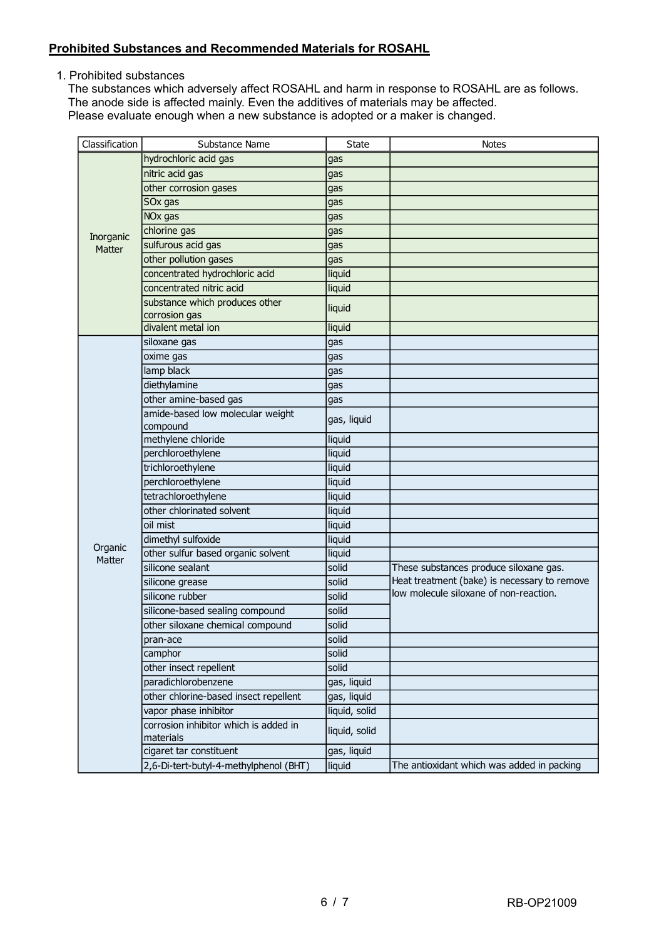## **Prohibited Substances and Recommended Materials for ROSAHL**

1. Prohibited substances

The substances which adversely affect ROSAHL and harm in response to ROSAHL are as follows. The anode side is affected mainly. Even the additives of materials may be affected. Please evaluate enough when a new substance is adopted or a maker is changed.

| Classification | Substance Name                                     | <b>State</b>  | <b>Notes</b>                                 |
|----------------|----------------------------------------------------|---------------|----------------------------------------------|
|                | hydrochloric acid gas                              | gas           |                                              |
|                | nitric acid gas                                    | gas           |                                              |
|                | other corrosion gases                              | gas           |                                              |
|                | SOx gas                                            | gas           |                                              |
|                | NO <sub>x</sub> gas                                | gas           |                                              |
| Inorganic      | chlorine gas                                       | gas           |                                              |
| Matter         | sulfurous acid gas                                 | gas           |                                              |
|                | other pollution gases                              | gas           |                                              |
|                | concentrated hydrochloric acid                     | liquid        |                                              |
|                | concentrated nitric acid                           | liquid        |                                              |
|                | substance which produces other<br>corrosion gas    | liquid        |                                              |
|                | divalent metal ion                                 | liquid        |                                              |
|                | siloxane gas                                       | gas           |                                              |
|                | oxime gas                                          | gas           |                                              |
|                | lamp black                                         | gas           |                                              |
|                | diethylamine                                       | gas           |                                              |
|                | other amine-based gas                              | gas           |                                              |
|                | amide-based low molecular weight                   |               |                                              |
|                | compound                                           | gas, liquid   |                                              |
|                | methylene chloride                                 | liquid        |                                              |
|                | perchloroethylene                                  | liquid        |                                              |
|                | trichloroethylene                                  | liquid        |                                              |
|                | perchloroethylene                                  | liquid        |                                              |
|                | tetrachloroethylene                                | liquid        |                                              |
|                | other chlorinated solvent                          | liquid        |                                              |
|                | oil mist                                           | liquid        |                                              |
| Organic        | dimethyl sulfoxide                                 | liquid        |                                              |
| Matter         | other sulfur based organic solvent                 | liquid        |                                              |
|                | silicone sealant                                   | solid         | These substances produce siloxane gas.       |
|                | silicone grease                                    | solid         | Heat treatment (bake) is necessary to remove |
|                | silicone rubber                                    | solid         | low molecule siloxane of non-reaction.       |
|                | silicone-based sealing compound                    | solid         |                                              |
|                | other siloxane chemical compound                   | solid         |                                              |
|                | pran-ace                                           | solid         |                                              |
|                | camphor                                            | solid         |                                              |
|                | other insect repellent                             | solid         |                                              |
|                | paradichlorobenzene                                | gas, liquid   |                                              |
|                | other chlorine-based insect repellent              | gas, liquid   |                                              |
|                | vapor phase inhibitor                              | liquid, solid |                                              |
|                | corrosion inhibitor which is added in<br>materials | liquid, solid |                                              |
|                | cigaret tar constituent                            | gas, liquid   |                                              |
|                | 2,6-Di-tert-butyl-4-methylphenol (BHT)             | liquid        | The antioxidant which was added in packing   |